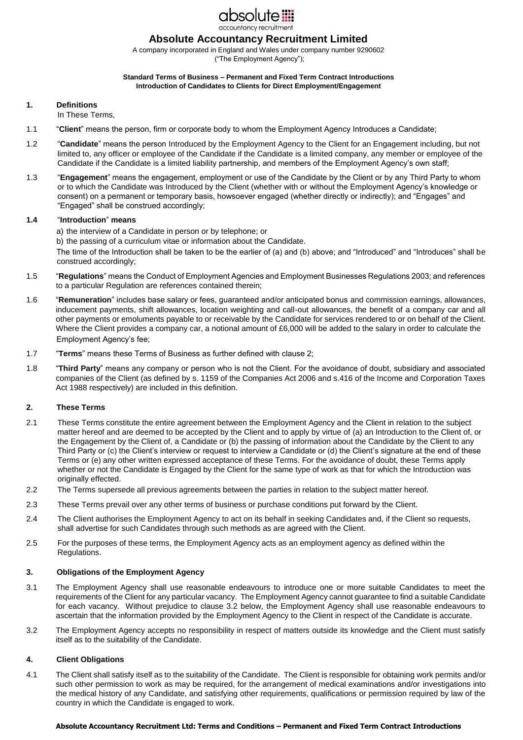

# **Absolute Accountancy Recruitment Limited**

A company incorporated in England and Wales under company number 9290602 ("The Employment Agency");

#### **Standard Terms of Business – Permanent and Fixed Term Contract Introductions Introduction of Candidates to Clients for Direct Employment/Engagement**

## **1. Definitions**

In These Terms,

- 1.1 "**Client**" means the person, firm or corporate body to whom the Employment Agency Introduces a Candidate;
- 1.2 "**Candidate**" means the person Introduced by the Employment Agency to the Client for an Engagement including, but not limited to, any officer or employee of the Candidate if the Candidate is a limited company, any member or employee of the Candidate if the Candidate is a limited liability partnership, and members of the Employment Agency's own staff;
- 1.3 "**Engagement**" means the engagement, employment or use of the Candidate by the Client or by any Third Party to whom or to which the Candidate was Introduced by the Client (whether with or without the Employment Agency's knowledge or consent) on a permanent or temporary basis, howsoever engaged (whether directly or indirectly); and "Engages" and "Engaged" shall be construed accordingly;

### **1.4** "**Introduction**" **means**

- a) the interview of a Candidate in person or by telephone; or
- b) the passing of a curriculum vitae or information about the Candidate.

The time of the Introduction shall be taken to be the earlier of (a) and (b) above; and "Introduced" and "Introduces" shall be construed accordingly;

- 1.5 "**Regulations**" means the Conduct of Employment Agencies and Employment Businesses Regulations 2003; and references to a particular Regulation are references contained therein;
- 1.6 "**Remuneration**" includes base salary or fees, guaranteed and/or anticipated bonus and commission earnings, allowances, inducement payments, shift allowances, location weighting and call-out allowances, the benefit of a company car and all other payments or emoluments payable to or receivable by the Candidate for services rendered to or on behalf of the Client. Where the Client provides a company car, a notional amount of £6,000 will be added to the salary in order to calculate the Employment Agency's fee;
- 1.7 "**Terms**" means these Terms of Business as further defined with clause 2;
- 1.8 "**Third Party**" means any company or person who is not the Client. For the avoidance of doubt, subsidiary and associated companies of the Client (as defined by s. 1159 of the Companies Act 2006 and s.416 of the Income and Corporation Taxes Act 1988 respectively) are included in this definition.

# **2. These Terms**

- 2.1 These Terms constitute the entire agreement between the Employment Agency and the Client in relation to the subject matter hereof and are deemed to be accepted by the Client and to apply by virtue of (a) an Introduction to the Client of, or the Engagement by the Client of, a Candidate or (b) the passing of information about the Candidate by the Client to any Third Party or (c) the Client's interview or request to interview a Candidate or (d) the Client's signature at the end of these Terms or (e) any other written expressed acceptance of these Terms. For the avoidance of doubt, these Terms apply whether or not the Candidate is Engaged by the Client for the same type of work as that for which the Introduction was originally effected.
- 2.2 The Terms supersede all previous agreements between the parties in relation to the subject matter hereof.
- 2.3 These Terms prevail over any other terms of business or purchase conditions put forward by the Client.
- 2.4 The Client authorises the Employment Agency to act on its behalf in seeking Candidates and, if the Client so requests, shall advertise for such Candidates through such methods as are agreed with the Client.
- 2.5 For the purposes of these terms, the Employment Agency acts as an employment agency as defined within the Regulations.

# **3. Obligations of the Employment Agency**

- 3.1 The Employment Agency shall use reasonable endeavours to introduce one or more suitable Candidates to meet the requirements of the Client for any particular vacancy. The Employment Agency cannot guarantee to find a suitable Candidate for each vacancy. Without prejudice to clause 3.2 below, the Employment Agency shall use reasonable endeavours to ascertain that the information provided by the Employment Agency to the Client in respect of the Candidate is accurate.
- 3.2 The Employment Agency accepts no responsibility in respect of matters outside its knowledge and the Client must satisfy itself as to the suitability of the Candidate.

# **4. Client Obligations**

4.1 The Client shall satisfy itself as to the suitability of the Candidate. The Client is responsible for obtaining work permits and/or such other permission to work as may be required, for the arrangement of medical examinations and/or investigations into the medical history of any Candidate, and satisfying other requirements, qualifications or permission required by law of the country in which the Candidate is engaged to work.

#### **Absolute Accountancy Recruitment Ltd: Terms and Conditions – Permanent and Fixed Term Contract Introductions**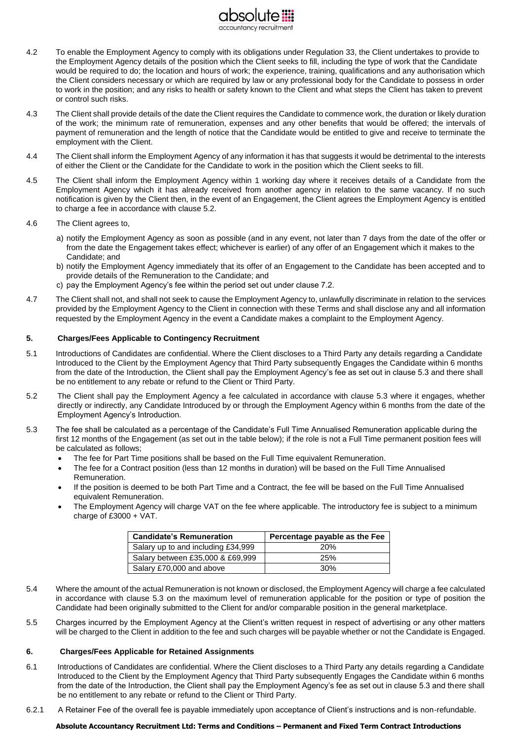

- 4.2 To enable the Employment Agency to comply with its obligations under Regulation 33, the Client undertakes to provide to the Employment Agency details of the position which the Client seeks to fill, including the type of work that the Candidate would be required to do; the location and hours of work; the experience, training, qualifications and any authorisation which the Client considers necessary or which are required by law or any professional body for the Candidate to possess in order to work in the position; and any risks to health or safety known to the Client and what steps the Client has taken to prevent or control such risks.
- 4.3 The Client shall provide details of the date the Client requires the Candidate to commence work, the duration or likely duration of the work; the minimum rate of remuneration, expenses and any other benefits that would be offered; the intervals of payment of remuneration and the length of notice that the Candidate would be entitled to give and receive to terminate the employment with the Client.
- 4.4 The Client shall inform the Employment Agency of any information it has that suggests it would be detrimental to the interests of either the Client or the Candidate for the Candidate to work in the position which the Client seeks to fill.
- 4.5 The Client shall inform the Employment Agency within 1 working day where it receives details of a Candidate from the Employment Agency which it has already received from another agency in relation to the same vacancy. If no such notification is given by the Client then, in the event of an Engagement, the Client agrees the Employment Agency is entitled to charge a fee in accordance with clause 5.2.
- 4.6 The Client agrees to,
	- a) notify the Employment Agency as soon as possible (and in any event, not later than 7 days from the date of the offer or from the date the Engagement takes effect; whichever is earlier) of any offer of an Engagement which it makes to the Candidate; and
	- b) notify the Employment Agency immediately that its offer of an Engagement to the Candidate has been accepted and to provide details of the Remuneration to the Candidate; and
	- c) pay the Employment Agency's fee within the period set out under clause 7.2.
- 4.7 The Client shall not, and shall not seek to cause the Employment Agency to, unlawfully discriminate in relation to the services provided by the Employment Agency to the Client in connection with these Terms and shall disclose any and all information requested by the Employment Agency in the event a Candidate makes a complaint to the Employment Agency.

## **5. Charges/Fees Applicable to Contingency Recruitment**

- 5.1 Introductions of Candidates are confidential. Where the Client discloses to a Third Party any details regarding a Candidate Introduced to the Client by the Employment Agency that Third Party subsequently Engages the Candidate within 6 months from the date of the Introduction, the Client shall pay the Employment Agency's fee as set out in clause 5.3 and there shall be no entitlement to any rebate or refund to the Client or Third Party.
- 5.2 The Client shall pay the Employment Agency a fee calculated in accordance with clause 5.3 where it engages, whether directly or indirectly, any Candidate Introduced by or through the Employment Agency within 6 months from the date of the Employment Agency's Introduction.
- 5.3 The fee shall be calculated as a percentage of the Candidate's Full Time Annualised Remuneration applicable during the first 12 months of the Engagement (as set out in the table below); if the role is not a Full Time permanent position fees will be calculated as follows;
	- The fee for Part Time positions shall be based on the Full Time equivalent Remuneration.
	- The fee for a Contract position (less than 12 months in duration) will be based on the Full Time Annualised Remuneration.
	- If the position is deemed to be both Part Time and a Contract, the fee will be based on the Full Time Annualised equivalent Remuneration.
	- The Employment Agency will charge VAT on the fee where applicable. The introductory fee is subject to a minimum charge of £3000 + VAT.

| <b>Candidate's Remuneration</b>    | Percentage payable as the Fee |
|------------------------------------|-------------------------------|
| Salary up to and including £34,999 | <b>20%</b>                    |
| Salary between £35,000 & £69,999   | 25%                           |
| Salary £70,000 and above           | 30%                           |

- 5.4 Where the amount of the actual Remuneration is not known or disclosed, the Employment Agency will charge a fee calculated in accordance with clause 5.3 on the maximum level of remuneration applicable for the position or type of position the Candidate had been originally submitted to the Client for and/or comparable position in the general marketplace.
- 5.5 Charges incurred by the Employment Agency at the Client's written request in respect of advertising or any other matters will be charged to the Client in addition to the fee and such charges will be payable whether or not the Candidate is Engaged.

### **6. Charges/Fees Applicable for Retained Assignments**

- 6.1 Introductions of Candidates are confidential. Where the Client discloses to a Third Party any details regarding a Candidate Introduced to the Client by the Employment Agency that Third Party subsequently Engages the Candidate within 6 months from the date of the Introduction, the Client shall pay the Employment Agency's fee as set out in clause 5.3 and there shall be no entitlement to any rebate or refund to the Client or Third Party.
- 6.2.1 A Retainer Fee of the overall fee is payable immediately upon acceptance of Client's instructions and is non-refundable.

#### **Absolute Accountancy Recruitment Ltd: Terms and Conditions – Permanent and Fixed Term Contract Introductions**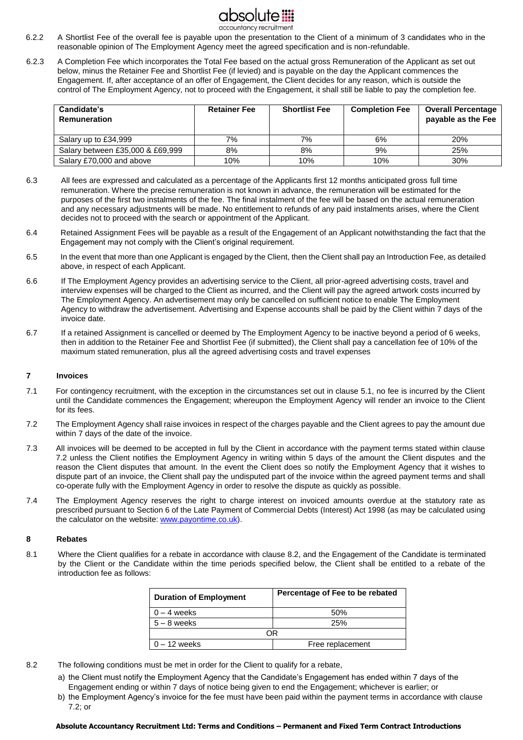

- 6.2.2 A Shortlist Fee of the overall fee is payable upon the presentation to the Client of a minimum of 3 candidates who in the reasonable opinion of The Employment Agency meet the agreed specification and is non-refundable.
- 6.2.3 A Completion Fee which incorporates the Total Fee based on the actual gross Remuneration of the Applicant as set out below, minus the Retainer Fee and Shortlist Fee (if levied) and is payable on the day the Applicant commences the Engagement. If, after acceptance of an offer of Engagement, the Client decides for any reason, which is outside the control of The Employment Agency, not to proceed with the Engagement, it shall still be liable to pay the completion fee.

| Candidate's<br>Remuneration      | <b>Retainer Fee</b> | <b>Shortlist Fee</b> | <b>Completion Fee</b> | <b>Overall Percentage</b><br>payable as the Fee |
|----------------------------------|---------------------|----------------------|-----------------------|-------------------------------------------------|
| Salary up to £34,999             | 7%                  | 7%                   | 6%                    | 20%                                             |
| Salary between £35,000 & £69,999 | 8%                  | 8%                   | 9%                    | 25%                                             |
| Salary £70,000 and above         | 10%                 | 10%                  | 10%                   | 30%                                             |

- 6.3 All fees are expressed and calculated as a percentage of the Applicants first 12 months anticipated gross full time remuneration. Where the precise remuneration is not known in advance, the remuneration will be estimated for the purposes of the first two instalments of the fee. The final instalment of the fee will be based on the actual remuneration and any necessary adjustments will be made. No entitlement to refunds of any paid instalments arises, where the Client decides not to proceed with the search or appointment of the Applicant.
- 6.4 Retained Assignment Fees will be payable as a result of the Engagement of an Applicant notwithstanding the fact that the Engagement may not comply with the Client's original requirement.
- 6.5 In the event that more than one Applicant is engaged by the Client, then the Client shall pay an Introduction Fee, as detailed above, in respect of each Applicant.
- 6.6 If The Employment Agency provides an advertising service to the Client, all prior-agreed advertising costs, travel and interview expenses will be charged to the Client as incurred, and the Client will pay the agreed artwork costs incurred by The Employment Agency. An advertisement may only be cancelled on sufficient notice to enable The Employment Agency to withdraw the advertisement. Advertising and Expense accounts shall be paid by the Client within 7 days of the invoice date.
- 6.7 If a retained Assignment is cancelled or deemed by The Employment Agency to be inactive beyond a period of 6 weeks, then in addition to the Retainer Fee and Shortlist Fee (if submitted), the Client shall pay a cancellation fee of 10% of the maximum stated remuneration, plus all the agreed advertising costs and travel expenses

### **7 Invoices**

- 7.1 For contingency recruitment, with the exception in the circumstances set out in clause 5.1, no fee is incurred by the Client until the Candidate commences the Engagement; whereupon the Employment Agency will render an invoice to the Client for its fees.
- 7.2 The Employment Agency shall raise invoices in respect of the charges payable and the Client agrees to pay the amount due within 7 days of the date of the invoice.
- 7.3 All invoices will be deemed to be accepted in full by the Client in accordance with the payment terms stated within clause 7.2 unless the Client notifies the Employment Agency in writing within 5 days of the amount the Client disputes and the reason the Client disputes that amount. In the event the Client does so notify the Employment Agency that it wishes to dispute part of an invoice, the Client shall pay the undisputed part of the invoice within the agreed payment terms and shall co-operate fully with the Employment Agency in order to resolve the dispute as quickly as possible.
- 7.4 The Employment Agency reserves the right to charge interest on invoiced amounts overdue at the statutory rate as prescribed pursuant to Section 6 of the Late Payment of Commercial Debts (Interest) Act 1998 (as may be calculated using the calculator on the website[: www.payontime.co.uk\).](http://www.payontime.co.uk/)

### **8 Rebates**

8.1 Where the Client qualifies for a rebate in accordance with clause 8.2, and the Engagement of the Candidate is terminated by the Client or the Candidate within the time periods specified below, the Client shall be entitled to a rebate of the introduction fee as follows:

| <b>Duration of Employment</b> | Percentage of Fee to be rebated |  |
|-------------------------------|---------------------------------|--|
| $0 - 4$ weeks                 | 50%                             |  |
| $5 - 8$ weeks                 | 25%                             |  |
| ЭR                            |                                 |  |
| $0 - 12$ weeks                | Free replacement                |  |

- 8.2 The following conditions must be met in order for the Client to qualify for a rebate,
	- a) the Client must notify the Employment Agency that the Candidate's Engagement has ended within 7 days of the Engagement ending or within 7 days of notice being given to end the Engagement; whichever is earlier; or
	- b) the Employment Agency's invoice for the fee must have been paid within the payment terms in accordance with clause 7.2; or

#### **Absolute Accountancy Recruitment Ltd: Terms and Conditions – Permanent and Fixed Term Contract Introductions**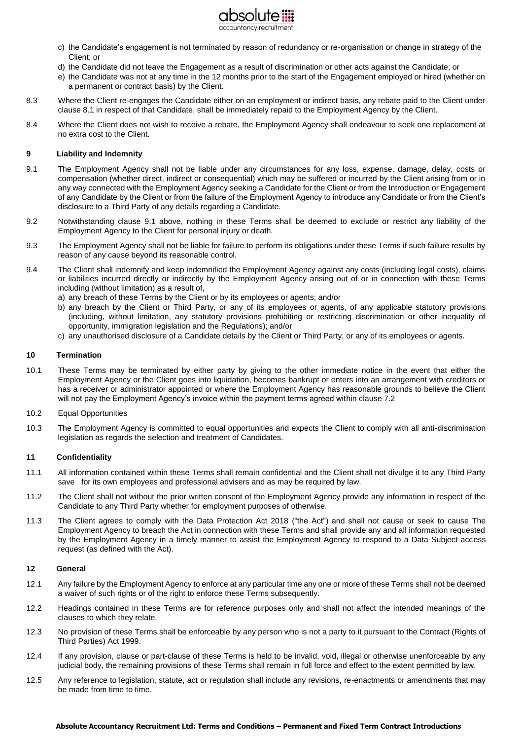

- c) the Candidate's engagement is not terminated by reason of redundancy or re-organisation or change in strategy of the Client; or
- d) the Candidate did not leave the Engagement as a result of discrimination or other acts against the Candidate; or
- e) the Candidate was not at any time in the 12 months prior to the start of the Engagement employed or hired (whether on a permanent or contract basis) by the Client.
- 8.3 Where the Client re-engages the Candidate either on an employment or indirect basis, any rebate paid to the Client under clause 8.1 in respect of that Candidate, shall be immediately repaid to the Employment Agency by the Client.
- 8.4 Where the Client does not wish to receive a rebate, the Employment Agency shall endeavour to seek one replacement at no extra cost to the Client.

### **9 Liability and Indemnity**

- 9.1 The Employment Agency shall not be liable under any circumstances for any loss, expense, damage, delay, costs or compensation (whether direct, indirect or consequential) which may be suffered or incurred by the Client arising from or in any way connected with the Employment Agency seeking a Candidate for the Client or from the Introduction or Engagement of any Candidate by the Client or from the failure of the Employment Agency to introduce any Candidate or from the Client's disclosure to a Third Party of any details regarding a Candidate.
- 9.2 Notwithstanding clause 9.1 above, nothing in these Terms shall be deemed to exclude or restrict any liability of the Employment Agency to the Client for personal injury or death.
- 9.3 The Employment Agency shall not be liable for failure to perform its obligations under these Terms if such failure results by reason of any cause beyond its reasonable control.
- 9.4 The Client shall indemnify and keep indemnified the Employment Agency against any costs (including legal costs), claims or liabilities incurred directly or indirectly by the Employment Agency arising out of or in connection with these Terms including (without limitation) as a result of,
	- a) any breach of these Terms by the Client or by its employees or agents; and/or
	- b) any breach by the Client or Third Party, or any of its employees or agents, of any applicable statutory provisions (including, without limitation, any statutory provisions prohibiting or restricting discrimination or other inequality of opportunity, immigration legislation and the Regulations); and/or
	- c) any unauthorised disclosure of a Candidate details by the Client or Third Party, or any of its employees or agents.

### **10 Termination**

- 10.1 These Terms may be terminated by either party by giving to the other immediate notice in the event that either the Employment Agency or the Client goes into liquidation, becomes bankrupt or enters into an arrangement with creditors or has a receiver or administrator appointed or where the Employment Agency has reasonable grounds to believe the Client will not pay the Employment Agency's invoice within the payment terms agreed within clause 7.2
- 10.2 Equal Opportunities
- 10.3 The Employment Agency is committed to equal opportunities and expects the Client to comply with all anti-discrimination legislation as regards the selection and treatment of Candidates.

### **11 Confidentiality**

- 11.1 All information contained within these Terms shall remain confidential and the Client shall not divulge it to any Third Party save for its own employees and professional advisers and as may be required by law.
- 11.2 The Client shall not without the prior written consent of the Employment Agency provide any information in respect of the Candidate to any Third Party whether for employment purposes of otherwise.
- 11.3 The Client agrees to comply with the Data Protection Act 2018 ("the Act") and shall not cause or seek to cause The Employment Agency to breach the Act in connection with these Terms and shall provide any and all information requested by the Employment Agency in a timely manner to assist the Employment Agency to respond to a Data Subject access request (as defined with the Act).

### **12 General**

- 12.1 Any failure by the Employment Agency to enforce at any particular time any one or more of these Terms shall not be deemed a waiver of such rights or of the right to enforce these Terms subsequently.
- 12.2 Headings contained in these Terms are for reference purposes only and shall not affect the intended meanings of the clauses to which they relate.
- 12.3 No provision of these Terms shall be enforceable by any person who is not a party to it pursuant to the Contract (Rights of Third Parties) Act 1999.
- 12.4 If any provision, clause or part-clause of these Terms is held to be invalid, void, illegal or otherwise unenforceable by any judicial body, the remaining provisions of these Terms shall remain in full force and effect to the extent permitted by law.
- 12.5 Any reference to legislation, statute, act or regulation shall include any revisions, re-enactments or amendments that may be made from time to time.